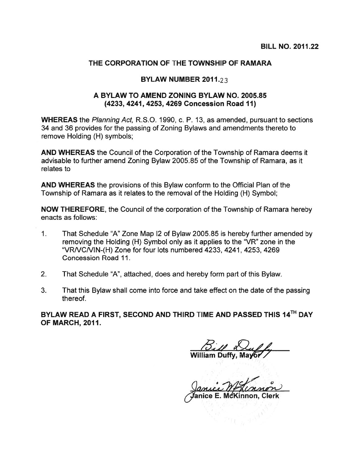## THE CORPORATION OF THE TOWNSHIP OF RAMARA

## BYLAW NUMBER 2011.23

## A BYLAW TO AMEND ZONING BYLAW NO. 2005.85 (4233, 4241, 4253, 4269 Concession Road 11)

WHEREAS the Planning Act, R.S.O. 1990, c. P. 13, as amended, pursuan<sup>t</sup> to sections 34 and 36 provides for the passing of Zoning Bylaws and amendments thereto to remove Holding (H) symbols;

AND WHEREAS the Council of the Corporation of the Township of Ramara deems it advisable to further amend Zoning Bylaw 2005.85 of the Township of Ramara, as it relates to

AND WHEREAS the provisions of this Bylaw conform to the Official Plan of the Township of Ramara as it relates to the removal of the Holding (H) Symbol;

NOW THEREFORE, the Council of the corporation of the Township of Ramara hereby enacts as follows:

- 1. That Schedule "A" Zone Map 12 of Bylaw 2005.85 is hereby further amended by removing the Holding (H) Symbol only as it applies to the "VR" zone in the "VRNCNIN-(H) Zone for four lots numbered 4233, 4241, 4253, 4269 Concession Road 11.
- 2. That Schedule "A", attached, does and hereby form par<sup>t</sup> of this Bylaw.
- 3. That this Bylaw shall come into force and take effect on the date of the passing thereof.

BYLAW READ A FIRST, SECOND AND THIRD TIME AND PASSED THIS 14TH DAY OF MARCH, 2011.

William Duffy, Mayor

∕ Janice E. McKinnon, Clerk